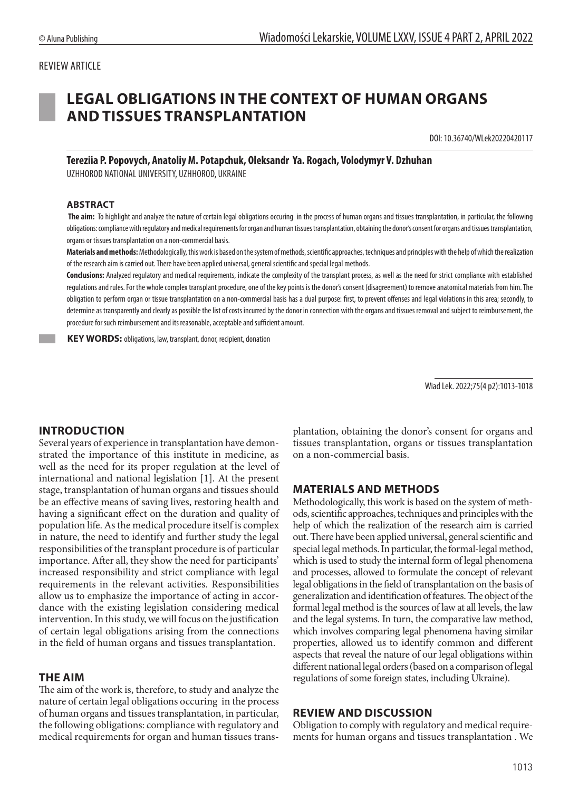## REVIEW ARTICLE

# **LEGAL OBLIGATIONS IN THE CONTEXT OF HUMAN ORGANS AND TISSUES TRANSPLANTATION**

DOI: 10.36740/WLek20220420117

**Tereziia P. Popovych, Anatoliy M. Potapchuk, Oleksandr Ya. Rogach, Volodymyr V. Dzhuhan**  UZHHOROD NATIONAL UNIVERSITY, UZHHOROD, UKRAINE

#### **ABSTRACT**

 **The aim:** To highlight and analyze the nature of certain legal obligations occuring in the process of human organs and tissues transplantation, in particular, the following obligations: compliance with regulatory and medical requirements for organ and human tissues transplantation, obtaining the donor's consent for organs and tissues transplantation, organs or tissues transplantation on a non-commercial basis.

**Materials andmethods:** Methodologically, this work is based on the system of methods, scientific approaches, techniques and principles with the help of which the realization of the research aim is carried out. There have been applied universal, general scientific and special legal methods.

**Conclusions:** Analyzed regulatory and medical requirements, indicate the complexity of the transplant process, as well as the need for strict compliance with established regulations and rules. For the whole complex transplant procedure, one of the key points is the donor's consent (disagreement) to remove anatomical materials from him. The obligation to perform organ or tissue transplantation on a non-commercial basis has a dual purpose: first, to prevent offenses and legal violations in this area; secondly, to determine as transparently and clearly as possible the list of costs incurred by the donor in connection with the organs and tissues removal and subject to reimbursement, the procedure for such reimbursement and its reasonable, acceptable and sufficient amount.

 **KEY WORDS:** obligations, law, transplant, donor, recipient, donation

Wiad Lek. 2022;75(4 p2):1013-1018

#### **INTRODUCTION**

Several years of experience in transplantation have demonstrated the importance of this institute in medicine, as well as the need for its proper regulation at the level of international and national legislation [1]. At the present stage, transplantation of human organs and tissues should be an effective means of saving lives, restoring health and having a significant effect on the duration and quality of population life. As the medical procedure itself is complex in nature, the need to identify and further study the legal responsibilities of the transplant procedure is of particular importance. After all, they show the need for participants' increased responsibility and strict compliance with legal requirements in the relevant activities. Responsibilities allow us to emphasize the importance of acting in accordance with the existing legislation considering medical intervention. In this study, we will focus on the justification of certain legal obligations arising from the connections in the field of human organs and tissues transplantation.

#### **THE AIM**

The aim of the work is, therefore, to study and analyze the nature of certain legal obligations occuring in the process of human organs and tissues transplantation, in particular, the following obligations: compliance with regulatory and medical requirements for organ and human tissues transplantation, obtaining the donor's consent for organs and tissues transplantation, organs or tissues transplantation on a non-commercial basis.

#### **MATERIALS AND METHODS**

Methodologically, this work is based on the system of methods, scientific approaches, techniques and principles with the help of which the realization of the research aim is carried out. There have been applied universal, general scientific and special legal methods. In particular, the formal-legal method, which is used to study the internal form of legal phenomena and processes, allowed to formulate the concept of relevant legal obligations in the field of transplantation on the basis of generalization and identification of features. The object of the formal legal method is the sources of law at all levels, the law and the legal systems. In turn, the comparative law method, which involves comparing legal phenomena having similar properties, allowed us to identify common and different aspects that reveal the nature of our legal obligations within different national legal orders (based on a comparison of legal regulations of some foreign states, including Ukraine).

#### **REVIEW AND DISCUSSION**

Obligation to comply with regulatory and medical requirements for human organs and tissues transplantation . We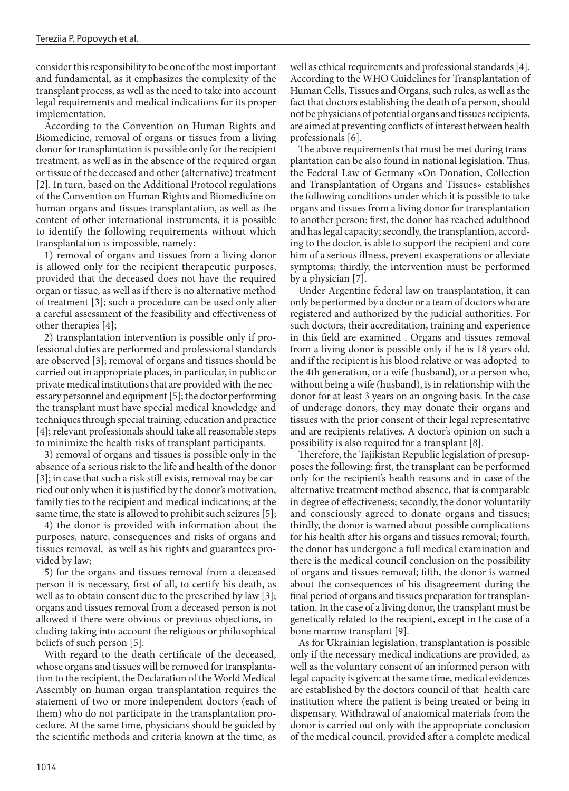consider this responsibility to be one of the most important and fundamental, as it emphasizes the complexity of the transplant process, as well as the need to take into account legal requirements and medical indications for its proper implementation.

According to the Convention on Human Rights and Biomedicine, removal of organs or tissues from a living donor for transplantation is possible only for the recipient treatment, as well as in the absence of the required organ or tissue of the deceased and other (alternative) treatment [2]. In turn, based on the Additional Protocol regulations of the Convention on Human Rights and Biomedicine on human organs and tissues transplantation, as well as the content of other international instruments, it is possible to identify the following requirements without which transplantation is impossible, namely:

1) removal of organs and tissues from a living donor is allowed only for the recipient therapeutic purposes, provided that the deceased does not have the required organ or tissue, as well as if there is no alternative method of treatment [3]; such a procedure can be used only after a careful assessment of the feasibility and effectiveness of other therapies [4];

2) transplantation intervention is possible only if professional duties are performed and professional standards are observed [3]; removal of organs and tissues should be carried out in appropriate places, in particular, in public or private medical institutions that are provided with the necessary personnel and equipment [5]; the doctor performing the transplant must have special medical knowledge and techniques through special training, education and practice [4]; relevant professionals should take all reasonable steps to minimize the health risks of transplant participants.

3) removal of organs and tissues is possible only in the absence of a serious risk to the life and health of the donor [3]; in case that such a risk still exists, removal may be carried out only when it is justified by the donor's motivation, family ties to the recipient and medical indications; at the same time, the state is allowed to prohibit such seizures [5];

4) the donor is provided with information about the purposes, nature, consequences and risks of organs and tissues removal, as well as his rights and guarantees provided by law;

5) for the organs and tissues removal from a deceased person it is necessary, first of all, to certify his death, as well as to obtain consent due to the prescribed by law [3]; organs and tissues removal from a deceased person is not allowed if there were obvious or previous objections, including taking into account the religious or philosophical beliefs of such person [5].

With regard to the death certificate of the deceased, whose organs and tissues will be removed for transplantation to the recipient, the Declaration of the World Medical Assembly on human organ transplantation requires the statement of two or more independent doctors (each of them) who do not participate in the transplantation procedure. At the same time, physicians should be guided by the scientific methods and criteria known at the time, as

well as ethical requirements and professional standards [4]. According to the WHO Guidelines for Transplantation of Human Cells, Tissues and Organs, such rules, as well as the fact that doctors establishing the death of a person, should not be physicians of potential organs and tissues recipients, are aimed at preventing conflicts of interest between health professionals [6].

The above requirements that must be met during transplantation can be also found in national legislation. Thus, the Federal Law of Germany «On Donation, Collection and Transplantation of Organs and Tissues» establishes the following conditions under which it is possible to take organs and tissues from a living donor for transplantation to another person: first, the donor has reached adulthood and has legal capacity; secondly, the transplantion, according to the doctor, is able to support the recipient and cure him of a serious illness, prevent exasperations or alleviate symptoms; thirdly, the intervention must be performed by a physician [7].

Under Argentine federal law on transplantation, it can only be performed by a doctor or a team of doctors who are registered and authorized by the judicial authorities. For such doctors, their accreditation, training and experience in this field are examined . Organs and tissues removal from a living donor is possible only if he is 18 years old, and if the recipient is his blood relative or was adopted to the 4th generation, or a wife (husband), or a person who, without being a wife (husband), is in relationship with the donor for at least 3 years on an ongoing basis. In the case of underage donors, they may donate their organs and tissues with the prior consent of their legal representative and are recipients relatives. A doctor's opinion on such a possibility is also required for a transplant [8].

Therefore, the Tajikistan Republic legislation of presupposes the following: first, the transplant can be performed only for the recipient's health reasons and in case of the alternative treatment method absence, that is comparable in degree of effectiveness; secondly, the donor voluntarily and consciously agreed to donate organs and tissues; thirdly, the donor is warned about possible complications for his health after his organs and tissues removal; fourth, the donor has undergone a full medical examination and there is the medical council conclusion on the possibility of organs and tissues removal; fifth, the donor is warned about the consequences of his disagreement during the final period of organs and tissues preparation for transplantation. In the case of a living donor, the transplant must be genetically related to the recipient, except in the case of a bone marrow transplant [9].

As for Ukrainian legislation, transplantation is possible only if the necessary medical indications are provided, as well as the voluntary consent of an informed person with legal capacity is given: at the same time, medical evidences are established by the doctors council of that health care institution where the patient is being treated or being in dispensary. Withdrawal of anatomical materials from the donor is carried out only with the appropriate conclusion of the medical council, provided after a complete medical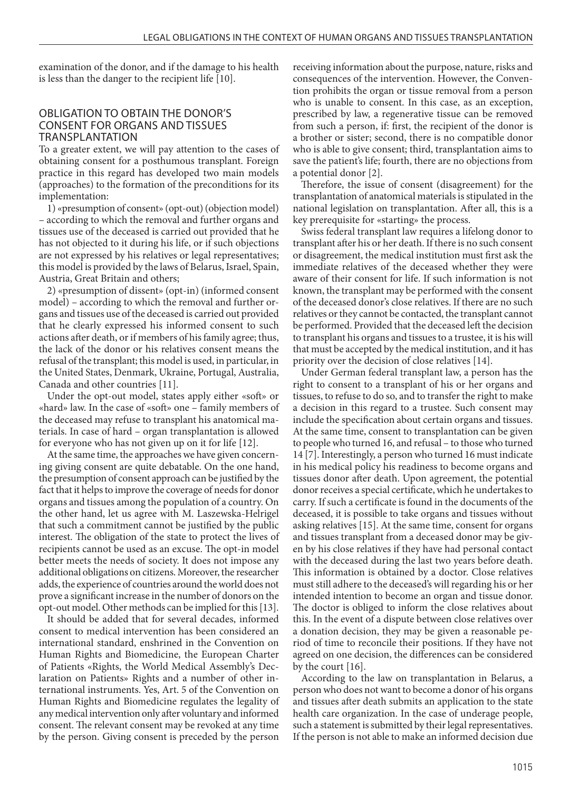examination of the donor, and if the damage to his health is less than the danger to the recipient life [10].

### OBLIGATION TO OBTAIN THE DONOR'S CONSENT FOR ORGANS AND TISSUES TRANSPLANTATION

To a greater extent, we will pay attention to the cases of obtaining consent for a posthumous transplant. Foreign practice in this regard has developed two main models (approaches) to the formation of the preconditions for its implementation:

1) «presumption of consent» (opt-out) (objection model) – according to which the removal and further organs and tissues use of the deceased is carried out provided that he has not objected to it during his life, or if such objections are not expressed by his relatives or legal representatives; this model is provided by the laws of Belarus, Israel, Spain, Austria, Great Britain and others;

2) «presumption of dissent» (opt-in) (informed consent model) – according to which the removal and further organs and tissues use of the deceased is carried out provided that he clearly expressed his informed consent to such actions after death, or if members of his family agree; thus, the lack of the donor or his relatives consent means the refusal of the transplant; this model is used, in particular, in the United States, Denmark, Ukraine, Portugal, Australia, Canada and other countries [11].

Under the opt-out model, states apply either «soft» or «hard» law. In the case of «soft» one – family members of the deceased may refuse to transplant his anatomical materials. In case of hard – organ transplantation is allowed for everyone who has not given up on it for life [12].

At the same time, the approaches we have given concerning giving consent are quite debatable. On the one hand, the presumption of consent approach can be justified by the fact that it helps to improve the coverage of needs for donor organs and tissues among the population of a country. On the other hand, let us agree with M. Laszewska-Helrigel that such a commitment cannot be justified by the public interest. The obligation of the state to protect the lives of recipients cannot be used as an excuse. The opt-in model better meets the needs of society. It does not impose any additional obligations on citizens. Moreover, the researcher adds, the experience of countries around the world does not prove a significant increase in the number of donors on the opt-out model. Other methods can be implied for this [13].

It should be added that for several decades, informed consent to medical intervention has been considered an international standard, enshrined in the Convention on Human Rights and Biomedicine, the European Charter of Patients «Rights, the World Medical Assembly's Declaration on Patients» Rights and a number of other international instruments. Yes, Art. 5 of the Convention on Human Rights and Biomedicine regulates the legality of any medical intervention only after voluntary and informed consent. The relevant consent may be revoked at any time by the person. Giving consent is preceded by the person

receiving information about the purpose, nature, risks and consequences of the intervention. However, the Convention prohibits the organ or tissue removal from a person who is unable to consent. In this case, as an exception, prescribed by law, a regenerative tissue can be removed from such a person, if: first, the recipient of the donor is a brother or sister; second, there is no compatible donor who is able to give consent; third, transplantation aims to save the patient's life; fourth, there are no objections from a potential donor [2].

Therefore, the issue of consent (disagreement) for the transplantation of anatomical materials is stipulated in the national legislation on transplantation. After all, this is a key prerequisite for «starting» the process.

Swiss federal transplant law requires a lifelong donor to transplant after his or her death. If there is no such consent or disagreement, the medical institution must first ask the immediate relatives of the deceased whether they were aware of their consent for life. If such information is not known, the transplant may be performed with the consent of the deceased donor's close relatives. If there are no such relatives or they cannot be contacted, the transplant cannot be performed. Provided that the deceased left the decision to transplant his organs and tissues to a trustee, it is his will that must be accepted by the medical institution, and it has priority over the decision of close relatives [14].

Under German federal transplant law, a person has the right to consent to a transplant of his or her organs and tissues, to refuse to do so, and to transfer the right to make a decision in this regard to a trustee. Such consent may include the specification about certain organs and tissues. At the same time, consent to transplantation can be given to people who turned 16, and refusal – to those who turned 14 [7]. Interestingly, a person who turned 16 must indicate in his medical policy his readiness to become organs and tissues donor after death. Upon agreement, the potential donor receives a special certificate, which he undertakes to carry. If such a certificate is found in the documents of the deceased, it is possible to take organs and tissues without asking relatives [15]. At the same time, consent for organs and tissues transplant from a deceased donor may be given by his close relatives if they have had personal contact with the deceased during the last two years before death. This information is obtained by a doctor. Close relatives must still adhere to the deceased's will regarding his or her intended intention to become an organ and tissue donor. The doctor is obliged to inform the close relatives about this. In the event of a dispute between close relatives over a donation decision, they may be given a reasonable period of time to reconcile their positions. If they have not agreed on one decision, the differences can be considered by the court [16].

According to the law on transplantation in Belarus, a person who does not want to become a donor of his organs and tissues after death submits an application to the state health care organization. In the case of underage people, such a statement is submitted by their legal representatives. If the person is not able to make an informed decision due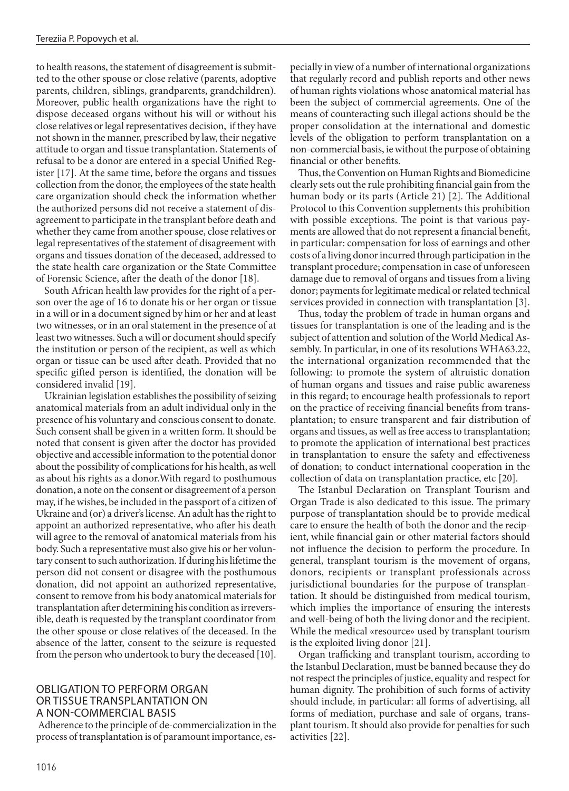to health reasons, the statement of disagreement is submitted to the other spouse or close relative (parents, adoptive parents, children, siblings, grandparents, grandchildren). Moreover, public health organizations have the right to dispose deceased organs without his will or without his close relatives or legal representatives decision, if they have not shown in the manner, prescribed by law, their negative attitude to organ and tissue transplantation. Statements of refusal to be a donor are entered in a special Unified Register [17]. At the same time, before the organs and tissues collection from the donor, the employees of the state health care organization should check the information whether the authorized persons did not receive a statement of disagreement to participate in the transplant before death and whether they came from another spouse, close relatives or legal representatives of the statement of disagreement with organs and tissues donation of the deceased, addressed to the state health care organization or the State Committee of Forensic Science, after the death of the donor [18].

South African health law provides for the right of a person over the age of 16 to donate his or her organ or tissue in a will or in a document signed by him or her and at least two witnesses, or in an oral statement in the presence of at least two witnesses. Such a will or document should specify the institution or person of the recipient, as well as which organ or tissue can be used after death. Provided that no specific gifted person is identified, the donation will be considered invalid [19].

Ukrainian legislation establishes the possibility of seizing anatomical materials from an adult individual only in the presence of his voluntary and conscious consent to donate. Such consent shall be given in a written form. It should be noted that consent is given after the doctor has provided objective and accessible information to the potential donor about the possibility of complications for his health, as well as about his rights as a donor.With regard to posthumous donation, a note on the consent or disagreement of a person may, if he wishes, be included in the passport of a citizen of Ukraine and (or) a driver's license. An adult has the right to appoint an authorized representative, who after his death will agree to the removal of anatomical materials from his body. Such a representative must also give his or her voluntary consent to such authorization. If during his lifetime the person did not consent or disagree with the posthumous donation, did not appoint an authorized representative, consent to remove from his body anatomical materials for transplantation after determining his condition as irreversible, death is requested by the transplant coordinator from the other spouse or close relatives of the deceased. In the absence of the latter, consent to the seizure is requested from the person who undertook to bury the deceased [10].

## OBLIGATION TO PERFORM ORGAN OR TISSUE TRANSPLANTATION ON A NON-COMMERCIAL BASIS

Adherence to the principle of de-commercialization in the process of transplantation is of paramount importance, especially in view of a number of international organizations that regularly record and publish reports and other news of human rights violations whose anatomical material has been the subject of commercial agreements. One of the means of counteracting such illegal actions should be the proper consolidation at the international and domestic levels of the obligation to perform transplantation on a non-commercial basis, ie without the purpose of obtaining financial or other benefits.

Thus, the Convention on Human Rights and Biomedicine clearly sets out the rule prohibiting financial gain from the human body or its parts (Article 21) [2]. The Additional Protocol to this Convention supplements this prohibition with possible exceptions. The point is that various payments are allowed that do not represent a financial benefit, in particular: compensation for loss of earnings and other costs of a living donor incurred through participation in the transplant procedure; compensation in case of unforeseen damage due to removal of organs and tissues from a living donor; payments for legitimate medical or related technical services provided in connection with transplantation [3].

Thus, today the problem of trade in human organs and tissues for transplantation is one of the leading and is the subject of attention and solution of the World Medical Assembly. In particular, in one of its resolutions WHA63.22, the international organization recommended that the following: to promote the system of altruistic donation of human organs and tissues and raise public awareness in this regard; to encourage health professionals to report on the practice of receiving financial benefits from transplantation; to ensure transparent and fair distribution of organs and tissues, as well as free access to transplantation; to promote the application of international best practices in transplantation to ensure the safety and effectiveness of donation; to conduct international cooperation in the collection of data on transplantation practice, etc [20].

The Istanbul Declaration on Transplant Tourism and Organ Trade is also dedicated to this issue. The primary purpose of transplantation should be to provide medical care to ensure the health of both the donor and the recipient, while financial gain or other material factors should not influence the decision to perform the procedure. In general, transplant tourism is the movement of organs, donors, recipients or transplant professionals across jurisdictional boundaries for the purpose of transplantation. It should be distinguished from medical tourism, which implies the importance of ensuring the interests and well-being of both the living donor and the recipient. While the medical «resource» used by transplant tourism is the exploited living donor [21].

Organ trafficking and transplant tourism, according to the Istanbul Declaration, must be banned because they do not respect the principles of justice, equality and respect for human dignity. The prohibition of such forms of activity should include, in particular: all forms of advertising, all forms of mediation, purchase and sale of organs, transplant tourism. It should also provide for penalties for such activities [22].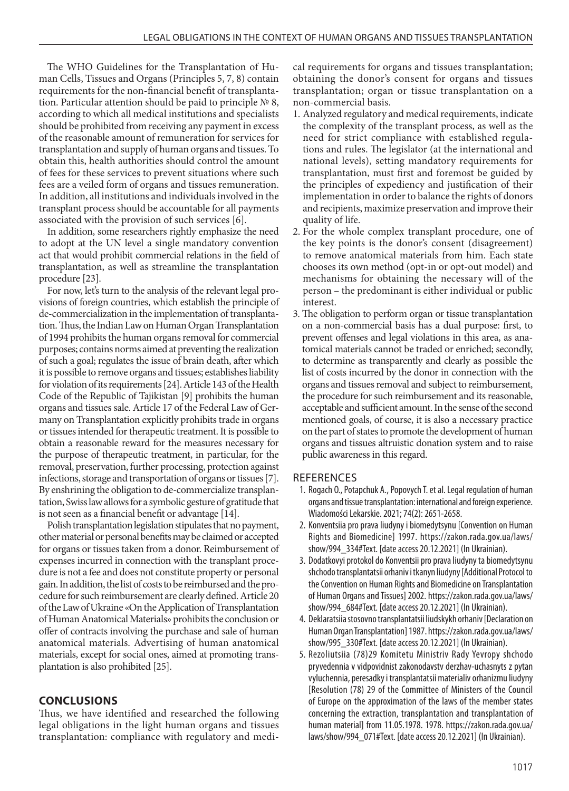The WHO Guidelines for the Transplantation of Human Cells, Tissues and Organs (Principles 5, 7, 8) contain requirements for the non-financial benefit of transplantation. Particular attention should be paid to principle № 8, according to which all medical institutions and specialists should be prohibited from receiving any payment in excess of the reasonable amount of remuneration for services for transplantation and supply of human organs and tissues. To obtain this, health authorities should control the amount of fees for these services to prevent situations where such fees are a veiled form of organs and tissues remuneration. In addition, all institutions and individuals involved in the transplant process should be accountable for all payments associated with the provision of such services [6].

In addition, some researchers rightly emphasize the need to adopt at the UN level a single mandatory convention act that would prohibit commercial relations in the field of transplantation, as well as streamline the transplantation procedure [23].

For now, let's turn to the analysis of the relevant legal provisions of foreign countries, which establish the principle of de-commercialization in the implementation of transplantation. Thus, the Indian Law on Human Organ Transplantation of 1994 prohibits the human organs removal for commercial purposes; contains norms aimed at preventing the realization of such a goal; regulates the issue of brain death, after which it is possible to remove organs and tissues; establishes liability for violation of its requirements [24]. Article 143 of the Health Code of the Republic of Tajikistan [9] prohibits the human organs and tissues sale. Article 17 of the Federal Law of Germany on Transplantation explicitly prohibits trade in organs or tissues intended for therapeutic treatment. It is possible to obtain a reasonable reward for the measures necessary for the purpose of therapeutic treatment, in particular, for the removal, preservation, further processing, protection against infections, storage and transportation of organs or tissues [7]. By enshrining the obligation to de-commercialize transplantation, Swiss law allows for a symbolic gesture of gratitude that is not seen as a financial benefit or advantage [14].

Polish transplantation legislation stipulates that no payment, other material or personal benefits may be claimed or accepted for organs or tissues taken from a donor. Reimbursement of expenses incurred in connection with the transplant procedure is not a fee and does not constitute property or personal gain. In addition, the list of costs to be reimbursed and the procedure for such reimbursement are clearly defined. Article 20 of the Law of Ukraine «On the Application of Transplantation of Human Anatomical Materials» prohibits the conclusion or offer of contracts involving the purchase and sale of human anatomical materials. Advertising of human anatomical materials, except for social ones, aimed at promoting transplantation is also prohibited [25].

# **CONCLUSIONS**

Thus, we have identified and researched the following legal obligations in the light human organs and tissues transplantation: compliance with regulatory and medical requirements for organs and tissues transplantation; obtaining the donor's consent for organs and tissues transplantation; organ or tissue transplantation on a non-commercial basis.

- 1. Analyzed regulatory and medical requirements, indicate the complexity of the transplant process, as well as the need for strict compliance with established regulations and rules. The legislator (at the international and national levels), setting mandatory requirements for transplantation, must first and foremost be guided by the principles of expediency and justification of their implementation in order to balance the rights of donors and recipients, maximize preservation and improve their quality of life.
- 2. For the whole complex transplant procedure, one of the key points is the donor's consent (disagreement) to remove anatomical materials from him. Each state chooses its own method (opt-in or opt-out model) and mechanisms for obtaining the necessary will of the person – the predominant is either individual or public interest.
- 3. The obligation to perform organ or tissue transplantation on a non-commercial basis has a dual purpose: first, to prevent offenses and legal violations in this area, as anatomical materials cannot be traded or enriched; secondly, to determine as transparently and clearly as possible the list of costs incurred by the donor in connection with the organs and tissues removal and subject to reimbursement, the procedure for such reimbursement and its reasonable, acceptable and sufficient amount. In the sense of the second mentioned goals, of course, it is also a necessary practice on the part of states to promote the development of human organs and tissues altruistic donation system and to raise public awareness in this regard.

## REFERENCES

- 1. Rogach O., Potapchuk A., Popovych T. et al. Legal regulation of human organs and tissue transplantation: international and foreign experience. Wiadomości Lekarskie. 2021; 74(2): 2651-2658.
- 2. Konventsiia pro prava liudyny i biomedytsynu [Convention on Human Rights and Biomedicine] 1997. https://zakon.rada.gov.ua/laws/ show/994\_334#Text. [date access 20.12.2021] (In Ukrainian).
- 3. Dodatkovyi protokol do Konventsii pro prava liudyny ta biomedytsynu shchodo transplantatsii orhaniv i tkanyn liudyny [Additional Protocol to the Convention on Human Rights and Biomedicine on Transplantation of Human Organs and Tissues] 2002. https://zakon.rada.gov.ua/laws/ show/994\_684#Text. [date access 20.12.2021] (In Ukrainian).
- 4. Deklaratsiia stosovno transplantatsii liudskykh orhaniv [Declaration on Human Organ Transplantation] 1987. https://zakon.rada.gov.ua/laws/ show/995\_330#Text. [date access 20.12.2021] (In Ukrainian).
- 5. Rezoliutsiia (78)29 Komitetu Ministriv Rady Yevropy shchodo pryvedennia v vidpovidnist zakonodavstv derzhav-uchasnyts z pytan vyluchennia, peresadky i transplantatsii materialiv orhanizmu liudyny [Resolution (78) 29 of the Committee of Ministers of the Council of Europe on the approximation of the laws of the member states concerning the extraction, transplantation and transplantation of human material] from 11.05.1978. 1978. https://zakon.rada.gov.ua/ laws/show/994\_071#Text. [date access 20.12.2021] (In Ukrainian).